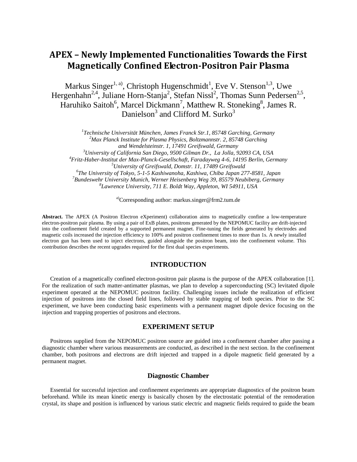# **APEX – Newly Implemented Functionalities Towards the First Magnetically Confined Electron-Positron Pair Plasma**

Markus Singer<sup>1, a)</sup>, Christoph Hugenschmidt<sup>1</sup>, Eve V. Stenson<sup>1,3</sup>, Uwe Hergenhahn<sup>2,4</sup>, Juliane Horn-Stanja<sup>2</sup>, Stefan Nissl<sup>2</sup>, Thomas Sunn Pedersen<sup>2,5</sup>, Haruhiko Saitoh<sup>6</sup>, Marcel Dickmann<sup>7</sup>, Matthew R. Stoneking<sup>8</sup>, James R. Danielson<sup>3</sup> and Clifford M. Surko<sup>3</sup>

 *Technische Universität München, James Franck Str.1, 85748 Garching, Germany Max Planck Institute for Plasma Physics, Boltzmannstr. 2, 85748 Garching and Wendelsteinstr. 1, 17491 Greifswald, Germany University of California San Diego, 9500 Gilman Dr., La Jolla, 92093 CA, USA Fritz-Haber-Institut der Max-Planck-Gesellschaft, Faradayweg 4-6, 14195 Berlin, Germany University of Greifswald, Domstr. 11, 17489 Greifswald The University of Tokyo, 5-1-5 Kashiwanoha, Kashiwa, Chiba Japan 277-8581, Japan Bundeswehr University Munich, Werner Heisenberg Weg 39, 85579 Neubiberg, Germany Lawrence University, 711 E. Boldt Way, Appleton, WI 54911, USA*

a)Corresponding author: markus.singer@frm2.tum.de

**Abstract.** The APEX (A Positron Electron eXperiment) collaboration aims to magnetically confine a low-temperature electron-positron pair plasma. By using a pair of ExB plates, positrons generated by the NEPOMUC facility are drift-injected into the confinement field created by a supported permanent magnet. Fine-tuning the fields generated by electrodes and magnetic coils increased the injection efficiency to 100% and positron confinement times to more than 1s. A newly installed electron gun has been used to inject electrons, guided alongside the positron beam, into the confinement volume. This contribution describes the recent upgrades required for the first dual species experiments.

## **INTRODUCTION**

Creation of a magnetically confined electron-positron pair plasma is the purpose of the APEX collaboration [1]. For the realization of such matter-antimatter plasmas, we plan to develop a superconducting (SC) levitated dipole experiment operated at the NEPOMUC positron facility. Challenging issues include the realization of efficient injection of positrons into the closed field lines, followed by stable trapping of both species. Prior to the SC experiment, we have been conducting basic experiments with a permanent magnet dipole device focusing on the injection and trapping properties of positrons and electrons.

# **EXPERIMENT SETUP**

Positrons supplied from the NEPOMUC positron source are guided into a confinement chamber after passing a diagnostic chamber where various measurements are conducted, as described in the next section. In the confinement chamber, both positrons and electrons are drift injected and trapped in a dipole magnetic field generated by a permanent magnet.

## **Diagnostic Chamber**

Essential for successful injection and confinement experiments are appropriate diagnostics of the positron beam beforehand. While its mean kinetic energy is basically chosen by the electrostatic potential of the remoderation crystal, its shape and position is influenced by various static electric and magnetic fields required to guide the beam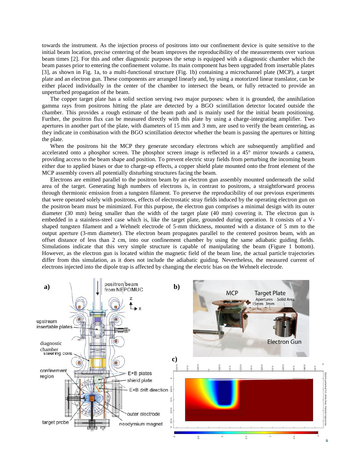towards the instrument. As the injection process of positrons into our confinement device is quite sensitive to the initial beam location, precise centering of the beam improves the reproducibility of the measurements over various beam times [2]. For this and other diagnostic purposes the setup is equipped with a diagnostic chamber which the beam passes prior to entering the confinement volume. Its main component has been upgraded from insertable plates [3], as shown in Fig. 1a, to a multi-functional structure (Fig. 1b) containing a microchannel plate (MCP), a target plate and an electron gun. These components are arranged linearly and, by using a motorized linear translator, can be either placed individually in the center of the chamber to intersect the beam, or fully retracted to provide an unperturbed propagation of the beam.

The copper target plate has a solid section serving two major purposes: when it is grounded, the annihilation gamma rays from positrons hitting the plate are detected by a BGO scintillation detector located outside the chamber. This provides a rough estimate of the beam path and is mainly used for the initial beam positioning. Further, the positron flux can be measured directly with this plate by using a charge-integrating amplifier. Two apertures in another part of the plate, with diameters of 15 mm and 3 mm, are used to verify the beam centering, as they indicate in combination with the BGO scintillation detector whether the beam is passing the apertures or hitting the plate.

When the positrons hit the MCP they generate secondary electrons which are subsequently amplified and accelerated onto a phosphor screen. The phosphor screen image is reflected in a 45° mirror towards a camera, providing access to the beam shape and position. To prevent electric stray fields from perturbing the incoming beam either due to applied biases or due to charge-up effects, a copper shield plate mounted onto the front element of the MCP assembly covers all potentially disturbing structures facing the beam.

Electrons are emitted parallel to the positron beam by an electron gun assembly mounted underneath the solid area of the target. Generating high numbers of electrons is, in contrast to positrons, a straightforward process through thermionic emission from a tungsten filament. To preserve the reproducibility of our previous experiments that were operated solely with positrons, effects of electrostatic stray fields induced by the operating electron gun on the positron beam must be minimized. For this purpose, the electron gun comprises a minimal design with its outer diameter (30 mm) being smaller than the width of the target plate (40 mm) covering it. The electron gun is embedded in a stainless-steel case which is, like the target plate, grounded during operation. It consists of a Vshaped tungsten filament and a Wehnelt electrode of 5-mm thickness, mounted with a distance of 5 mm to the output aperture (3-mm diameter). The electron beam propagates parallel to the centered positron beam, with an offset distance of less than 2 cm, into our confinement chamber by using the same adiabatic guiding fields. Simulations indicate that this very simple structure is capable of manipulating the beam (Figure 1 bottom). However, as the electron gun is located within the magnetic field of the beam line, the actual particle trajectories differ from this simulation, as it does not include the adiabatic guiding. Nevertheless, the measured current of electrons injected into the dipole trap is affected by changing the electric bias on the Wehnelt electrode.

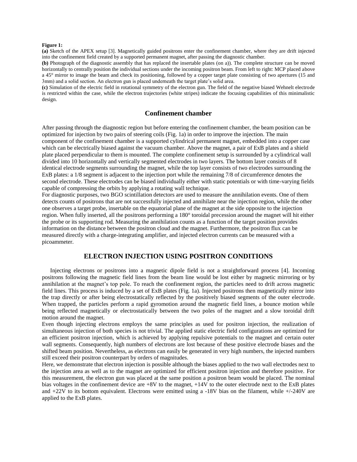#### **Figure 1:**

**(a)** Sketch of the APEX setup [3]. Magnetically guided positrons enter the confinement chamber, where they are drift injected into the confinement field created by a supported permanent magnet, after passing the diagnostic chamber.

**(b)** Photograph of the diagnostic assembly that has replaced the insertable plates (on a)). The complete structure can be moved horizontally to centrally position the individual sections under the incoming positron beam. From left to right: MCP placed above a 45° mirror to image the beam and check its positioning, followed by a copper target plate consisting of two apertures (15 and 3mm) and a solid section. An electron gun is placed underneath the target plate's solid area.

**(c)** Simulation of the electric field in rotational symmetry of the electron gun. The field of the negative biased Wehnelt electrode is restricted within the case, while the electron trajectories (white stripes) indicate the focusing capabilities of this minimalistic design.

## **Confinement chamber**

After passing through the diagnostic region but before entering the confinement chamber, the beam position can be optimized for injection by two pairs of steering coils (Fig. 1a) in order to improve the injection. The main component of the confinement chamber is a supported cylindrical permanent magnet, embedded into a copper case which can be electrically biased against the vacuum chamber. Above the magnet, a pair of ExB plates and a shield plate placed perpendicular to them is mounted. The complete confinement setup is surrounded by a cylindrical wall divided into 10 horizontally and vertically segmented electrodes in two layers. The bottom layer consists of 8 identical electrode segments surrounding the magnet, while the top layer consists of two electrodes surrounding the ExB plates: a 1/8 segment is adjacent to the injection port while the remaining 7/8 of circumference denotes the second electrode. These electrodes can be biased individually either with static potentials or with time-varying fields capable of compressing the orbits by applying a rotating wall technique.

For diagnostic purposes, two BGO scintillation detectors are used to measure the annihilation events. One of them detects counts of positrons that are not successfully injected and annihilate near the injection region, while the other one observes a target probe, insertable on the equatorial plane of the magnet at the side opposite to the injection region. When fully inserted, all the positrons performing a 180° toroidal precession around the magnet will hit either the probe or its supporting rod. Measuring the annihilation counts as a function of the target position provides information on the distance between the positron cloud and the magnet. Furthermore, the positron flux can be measured directly with a charge-integrating amplifier, and injected electron currents can be measured with a picoammeter.

# **ELECTRON INJECTION USING POSITRON CONDITIONS**

Injecting electrons or positrons into a magnetic dipole field is not a straightforward process [4]. Incoming positrons following the magnetic field lines from the beam line would be lost either by magnetic mirroring or by annihilation at the magnet's top pole. To reach the confinement region, the particles need to drift across magnetic field lines. This process is induced by a set of ExB plates (Fig. 1a). Injected positrons then magnetically mirror into the trap directly or after being electrostatically reflected by the positively biased segments of the outer electrode. When trapped, the particles perform a rapid gyromotion around the magnetic field lines, a bounce motion while being reflected magnetically or electrostatically between the two poles of the magnet and a slow toroidal drift motion around the magnet.

Even though injecting electrons employs the same principles as used for positron injection, the realization of simultaneous injection of both species is not trivial. The applied static electric field configurations are optimized for an efficient positron injection, which is achieved by applying repulsive potentials to the magnet and certain outer wall segments. Consequently, high numbers of electrons are lost because of these positive electrode biases and the shifted beam position. Nevertheless, as electrons can easily be generated in very high numbers, the injected numbers still exceed their positron counterpart by orders of magnitudes.

Here, we demonstrate that electron injection is possible although the biases applied to the two wall electrodes next to the injection area as well as to the magnet are optimized for efficient positron injection and therefore positive. For this measurement, the electron gun was placed at the same position a positron beam would be placed. The nominal bias voltages in the confinement device are  $+8V$  to the magnet,  $+14V$  to the outer electrode next to the ExB plates and  $+22V$  to its bottom equivalent. Electrons were emitted using a  $-18V$  bias on the filament, while  $+/-240V$  are applied to the ExB plates.